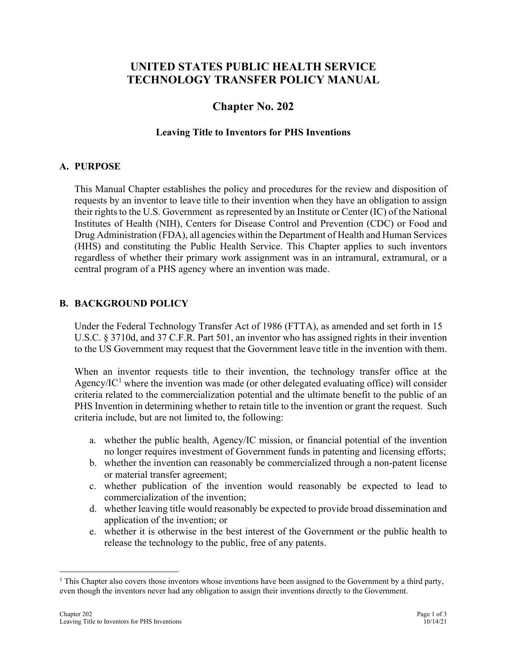# **UNITED STATES PUBLIC HEALTH SERVICE TECHNOLOGY TRANSFER POLICY MANUAL**

# **Chapter No. 202**

### **Leaving Title to Inventors for PHS Inventions**

### **A. PURPOSE**

This Manual Chapter establishes the policy and procedures for the review and disposition of requests by an inventor to leave title to their invention when they have an obligation to assign their rights to the U.S. Government as represented by an Institute or Center (IC) of the National Institutes of Health (NIH), Centers for Disease Control and Prevention (CDC) or Food and Drug Administration (FDA), all agencies within the Department of Health and Human Services (HHS) and constituting the Public Health Service. This Chapter applies to such inventors regardless of whether their primary work assignment was in an intramural, extramural, or a central program of a PHS agency where an invention was made.

### **B. BACKGROUND POLICY**

Under the Federal Technology Transfer Act of 1986 (FTTA), as amended and set forth in 15 U.S.C. § 3710d, and 37 C.F.R. Part 501, an inventor who has assigned rights in their invention to the US Government may request that the Government leave title in the invention with them.

When an inventor requests title to their invention, the technology transfer office at the Agency/IC<sup>[1](#page-0-0)</sup> where the invention was made (or other delegated evaluating office) will consider criteria related to the commercialization potential and the ultimate benefit to the public of an PHS Invention in determining whether to retain title to the invention or grant the request. Such criteria include, but are not limited to, the following:

- a. whether the public health, Agency/IC mission, or financial potential of the invention no longer requires investment of Government funds in patenting and licensing efforts;
- b. whether the invention can reasonably be commercialized through a non-patent license or material transfer agreement;
- c. whether publication of the invention would reasonably be expected to lead to commercialization of the invention;
- d. whether leaving title would reasonably be expected to provide broad dissemination and application of the invention; or
- e. whether it is otherwise in the best interest of the Government or the public health to release the technology to the public, free of any patents.

<span id="page-0-0"></span><sup>&</sup>lt;sup>1</sup> This Chapter also covers those inventors whose inventions have been assigned to the Government by a third party, even though the inventors never had any obligation to assign their inventions directly to the Government.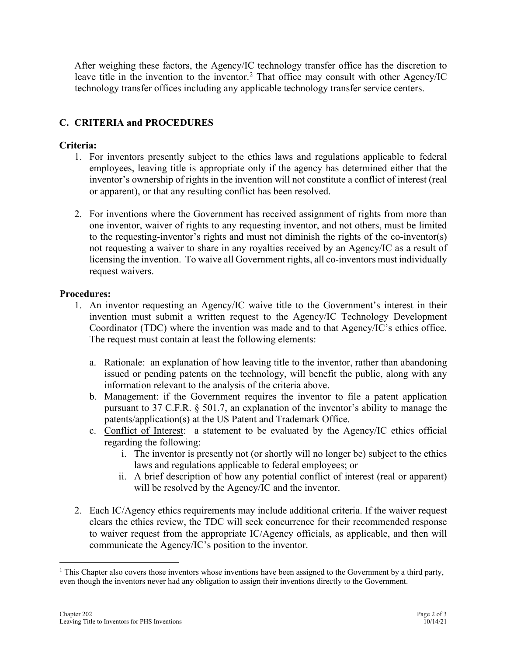After weighing these factors, the Agency/IC technology transfer office has the discretion to leave title in the invention to the inventor.<sup>[2](#page-1-0)</sup> That office may consult with other Agency/IC technology transfer offices including any applicable technology transfer service centers.

# **C. CRITERIA and PROCEDURES**

## **Criteria:**

- 1. For inventors presently subject to the ethics laws and regulations applicable to federal employees, leaving title is appropriate only if the agency has determined either that the inventor's ownership of rights in the invention will not constitute a conflict of interest (real or apparent), or that any resulting conflict has been resolved.
- 2. For inventions where the Government has received assignment of rights from more than one inventor, waiver of rights to any requesting inventor, and not others, must be limited to the requesting-inventor's rights and must not diminish the rights of the co-inventor(s) not requesting a waiver to share in any royalties received by an Agency/IC as a result of licensing the invention. To waive all Government rights, all co-inventors must individually request waivers.

## **Procedures:**

- 1. An inventor requesting an Agency/IC waive title to the Government's interest in their invention must submit a written request to the Agency/IC Technology Development Coordinator (TDC) where the invention was made and to that Agency/IC's ethics office. The request must contain at least the following elements:
	- a. Rationale: an explanation of how leaving title to the inventor, rather than abandoning issued or pending patents on the technology, will benefit the public, along with any information relevant to the analysis of the criteria above.
	- b. Management: if the Government requires the inventor to file a patent application pursuant to 37 C.F.R. § 501.7, an explanation of the inventor's ability to manage the patents/application(s) at the US Patent and Trademark Office.
	- c. Conflict of Interest: a statement to be evaluated by the Agency/IC ethics official regarding the following:
		- i. The inventor is presently not (or shortly will no longer be) subject to the ethics laws and regulations applicable to federal employees; or
		- ii. A brief description of how any potential conflict of interest (real or apparent) will be resolved by the Agency/IC and the inventor.
- 2. Each IC/Agency ethics requirements may include additional criteria. If the waiver request clears the ethics review, the TDC will seek concurrence for their recommended response to waiver request from the appropriate IC/Agency officials, as applicable, and then will communicate the Agency/IC's position to the inventor.

<span id="page-1-0"></span> $<sup>1</sup>$  This Chapter also covers those inventors whose inventions have been assigned to the Government by a third party,</sup> even though the inventors never had any obligation to assign their inventions directly to the Government.